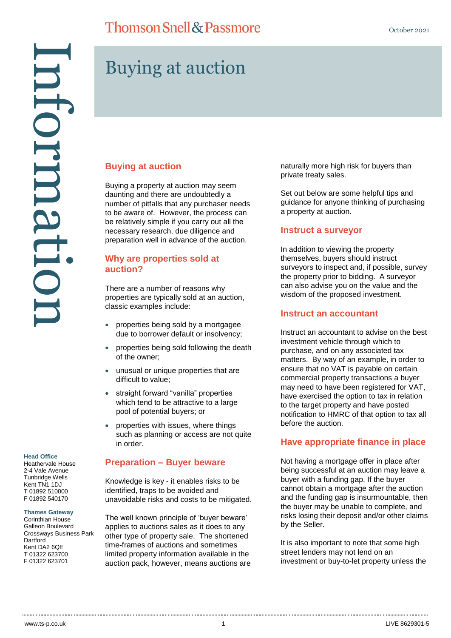#### **Head Office**

Heathervale House 2-4 Vale Avenue Tunbridge Wells Kent TN1 1DJ T 01892 510000 F 01892 540170

#### **Thames Gateway**

Corinthian House Galleon Boulevard Crossways Business Park **Dartford** Kent DA2 6QE T 01322 623700

# **Thomson Snell & Passmore**

# Buying at auction

#### **Buying at auction**

Buying a property at auction may seem daunting and there are undoubtedly a number of pitfalls that any purchaser needs to be aware of. However, the process can be relatively simple if you carry out all the necessary research, due diligence and preparation well in advance of the auction.

### **Why are properties sold at auction?**

There are a number of reasons why properties are typically sold at an auction, classic examples include:

- properties being sold by a mortgagee due to borrower default or insolvency;
- properties being sold following the death of the owner;
- unusual or unique properties that are difficult to value;
- straight forward "vanilla" properties which tend to be attractive to a large pool of potential buyers; or
- properties with issues, where things such as planning or access are not quite in order.

#### **Preparation – Buyer beware**

Knowledge is key - it enables risks to be identified, traps to be avoided and unavoidable risks and costs to be mitigated.

The well known principle of 'buyer beware' applies to auctions sales as it does to any other type of property sale. The shortened time-frames of auctions and sometimes limited property information available in the auction pack, however, means auctions are naturally more high risk for buyers than private treaty sales.

Set out below are some helpful tips and guidance for anyone thinking of purchasing a property at auction.

#### **Instruct a surveyor**

In addition to viewing the property themselves, buyers should instruct surveyors to inspect and, if possible, survey the property prior to bidding. A surveyor can also advise you on the value and the wisdom of the proposed investment.

#### **Instruct an accountant**

Instruct an accountant to advise on the best investment vehicle through which to purchase, and on any associated tax matters. By way of an example, in order to ensure that no VAT is payable on certain commercial property transactions a buyer may need to have been registered for VAT, have exercised the option to tax in relation to the target property and have posted notification to HMRC of that option to tax all before the auction.

#### **Have appropriate finance in place**

Not having a mortgage offer in place after being successful at an auction may leave a buyer with a funding gap. If the buyer cannot obtain a mortgage after the auction and the funding gap is insurmountable, then the buyer may be unable to complete, and risks losing their deposit and/or other claims by the Seller.

It is also important to note that some high street lenders may not lend on an investment or buy-to-let property unless the